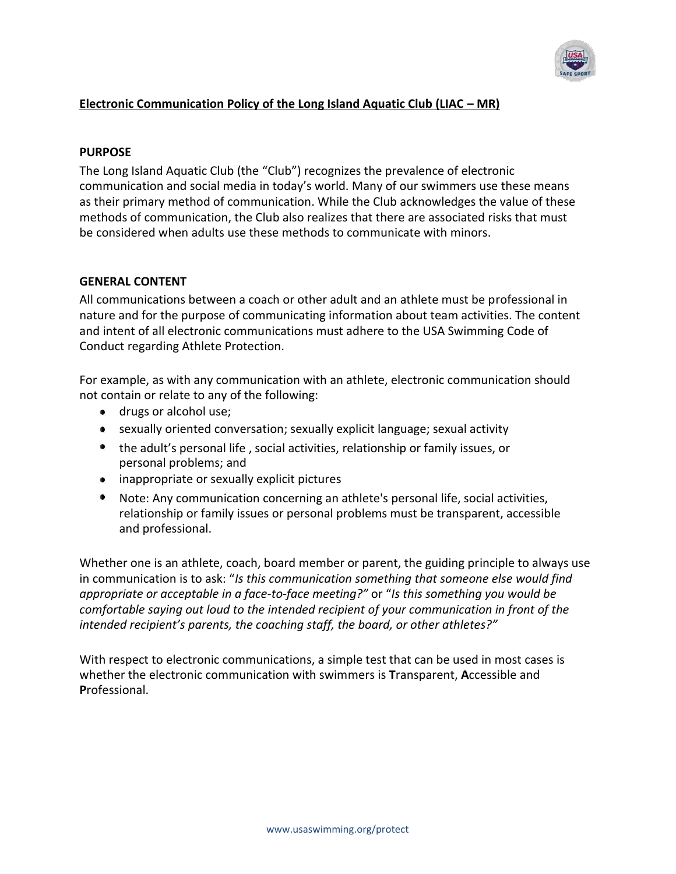

# **Electronic Communication Policy of the Long Island Aquatic Club (LIAC – MR)**

# **PURPOSE**

The Long Island Aquatic Club (the "Club") recognizes the prevalence of electronic communication and social media in today's world. Many of our swimmers use these means as their primary method of communication. While the Club acknowledges the value of these methods of communication, the Club also realizes that there are associated risks that must be considered when adults use these methods to communicate with minors.

# **GENERAL CONTENT**

All communications between a coach or other adult and an athlete must be professional in nature and for the purpose of communicating information about team activities. The content and intent of all electronic communications must adhere to the USA Swimming Code of Conduct regarding Athlete Protection.

For example, as with any communication with an athlete, electronic communication should not contain or relate to any of the following:

- **drugs or alcohol use;**
- sexually oriented conversation; sexually explicit language; sexual activity
- the adult's personal life , social activities, relationship or family issues, or personal problems; and
- inappropriate or sexually explicit pictures
- Note: Any communication concerning an athlete's personal life, social activities, relationship or family issues or personal problems must be transparent, accessible and professional.

Whether one is an athlete, coach, board member or parent, the guiding principle to always use in communication is to ask: "*Is this communication something that someone else would find appropriate or acceptable in a face-to-face meeting?"* or "*Is this something you would be comfortable saying out loud to the intended recipient of your communication in front of the intended recipient's parents, the coaching staff, the board, or other athletes?"*

With respect to electronic communications, a simple test that can be used in most cases is whether the electronic communication with swimmers is **T**ransparent, **A**ccessible and **P**rofessional.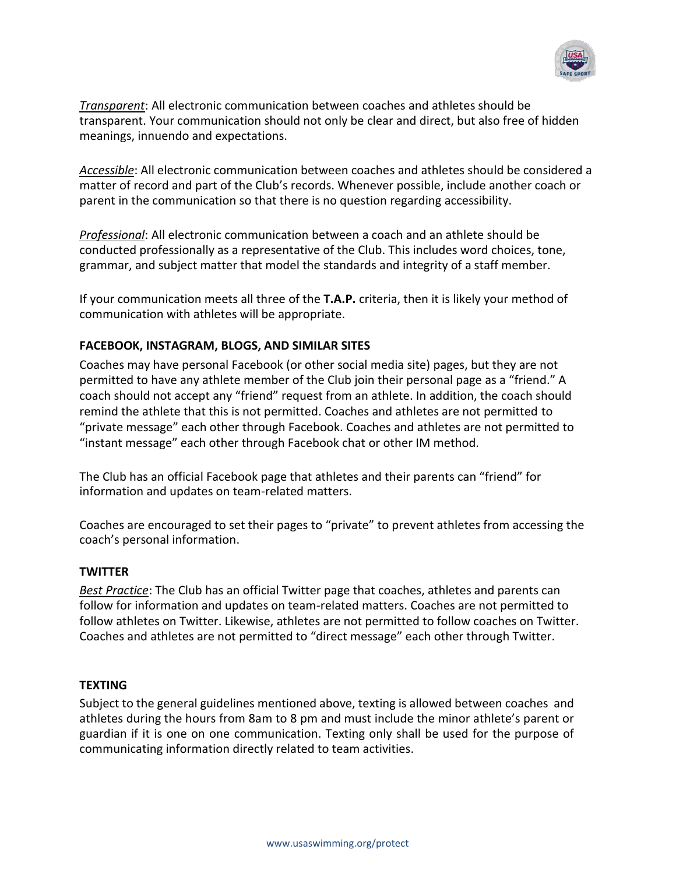

*Transparent*: All electronic communication between coaches and athletes should be transparent. Your communication should not only be clear and direct, but also free of hidden meanings, innuendo and expectations.

*Accessible*: All electronic communication between coaches and athletes should be considered a matter of record and part of the Club's records. Whenever possible, include another coach or parent in the communication so that there is no question regarding accessibility.

*Professional*: All electronic communication between a coach and an athlete should be conducted professionally as a representative of the Club. This includes word choices, tone, grammar, and subject matter that model the standards and integrity of a staff member.

If your communication meets all three of the **T.A.P.** criteria, then it is likely your method of communication with athletes will be appropriate.

# **FACEBOOK, INSTAGRAM, BLOGS, AND SIMILAR SITES**

Coaches may have personal Facebook (or other social media site) pages, but they are not permitted to have any athlete member of the Club join their personal page as a "friend." A coach should not accept any "friend" request from an athlete. In addition, the coach should remind the athlete that this is not permitted. Coaches and athletes are not permitted to "private message" each other through Facebook. Coaches and athletes are not permitted to "instant message" each other through Facebook chat or other IM method.

The Club has an official Facebook page that athletes and their parents can "friend" for information and updates on team-related matters.

Coaches are encouraged to set their pages to "private" to prevent athletes from accessing the coach's personal information.

#### **TWITTER**

*Best Practice*: The Club has an official Twitter page that coaches, athletes and parents can follow for information and updates on team-related matters. Coaches are not permitted to follow athletes on Twitter. Likewise, athletes are not permitted to follow coaches on Twitter. Coaches and athletes are not permitted to "direct message" each other through Twitter.

## **TEXTING**

Subject to the general guidelines mentioned above, texting is allowed between coaches and athletes during the hours from 8am to 8 pm and must include the minor athlete's parent or guardian if it is one on one communication. Texting only shall be used for the purpose of communicating information directly related to team activities.